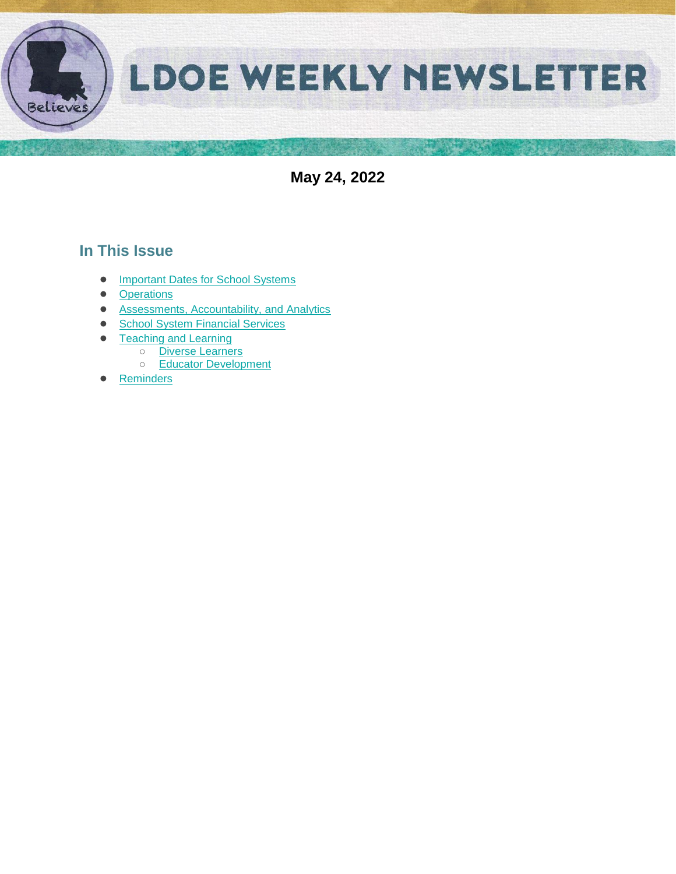

**May 24, 2022**

# **In This Issue**

- [Important Dates for School Systems](#page-1-0)
- **[Operations](#page-2-0)**
- [Assessments, Accountability, and Analytics](#page-3-0)
- [School System Financial Services](#page-4-0)
- **[Teaching and Learning](#page-5-0)** 
	- [Diverse Learners](#page-5-1)
	- [Educator Development](#page-5-2)
- [Reminders](#page-8-0)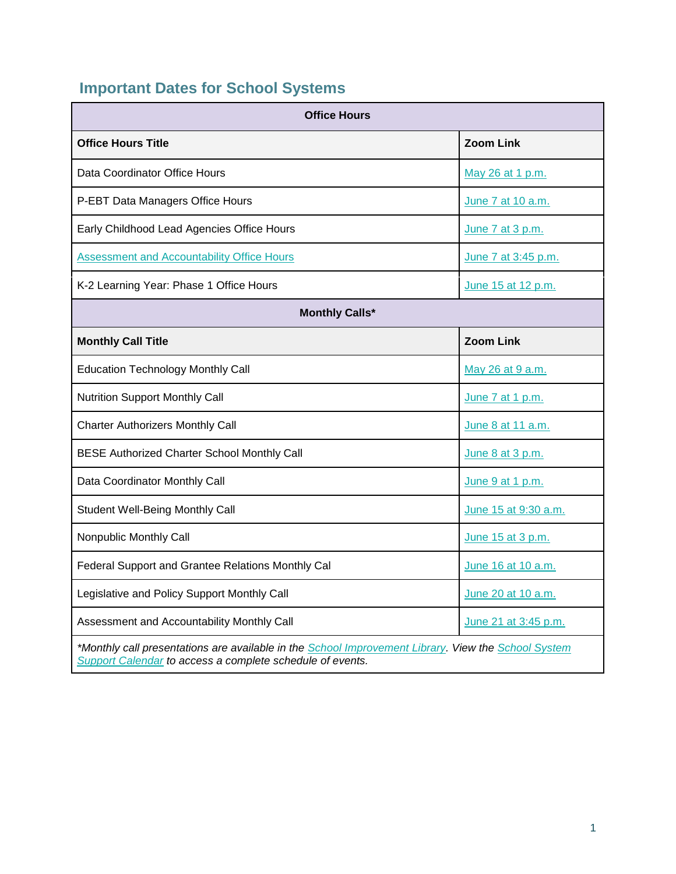# <span id="page-1-0"></span>**Important Dates for School Systems**

| <b>Office Hours</b>                                                                                                                                              |                      |  |  |
|------------------------------------------------------------------------------------------------------------------------------------------------------------------|----------------------|--|--|
| <b>Office Hours Title</b>                                                                                                                                        | <b>Zoom Link</b>     |  |  |
| Data Coordinator Office Hours                                                                                                                                    | May 26 at 1 p.m.     |  |  |
| P-EBT Data Managers Office Hours                                                                                                                                 | June 7 at 10 a.m.    |  |  |
| Early Childhood Lead Agencies Office Hours                                                                                                                       | June 7 at 3 p.m.     |  |  |
| <b>Assessment and Accountability Office Hours</b>                                                                                                                | June 7 at 3:45 p.m.  |  |  |
| K-2 Learning Year: Phase 1 Office Hours                                                                                                                          | June 15 at 12 p.m.   |  |  |
| <b>Monthly Calls*</b>                                                                                                                                            |                      |  |  |
| <b>Monthly Call Title</b>                                                                                                                                        | <b>Zoom Link</b>     |  |  |
| <b>Education Technology Monthly Call</b>                                                                                                                         | May 26 at 9 a.m.     |  |  |
| <b>Nutrition Support Monthly Call</b>                                                                                                                            | June 7 at 1 p.m.     |  |  |
| <b>Charter Authorizers Monthly Call</b>                                                                                                                          | June 8 at 11 a.m.    |  |  |
| <b>BESE Authorized Charter School Monthly Call</b>                                                                                                               | June 8 at 3 p.m.     |  |  |
| Data Coordinator Monthly Call                                                                                                                                    | June 9 at 1 p.m.     |  |  |
| <b>Student Well-Being Monthly Call</b>                                                                                                                           | June 15 at 9:30 a.m. |  |  |
| Nonpublic Monthly Call                                                                                                                                           | June 15 at 3 p.m.    |  |  |
| Federal Support and Grantee Relations Monthly Cal                                                                                                                | June 16 at 10 a.m.   |  |  |
| Legislative and Policy Support Monthly Call                                                                                                                      | June 20 at 10 a.m.   |  |  |
| Assessment and Accountability Monthly Call                                                                                                                       | June 21 at 3:45 p.m. |  |  |
| *Monthly call presentations are available in the School Improvement Library. View the School System<br>Support Calendar to access a complete schedule of events. |                      |  |  |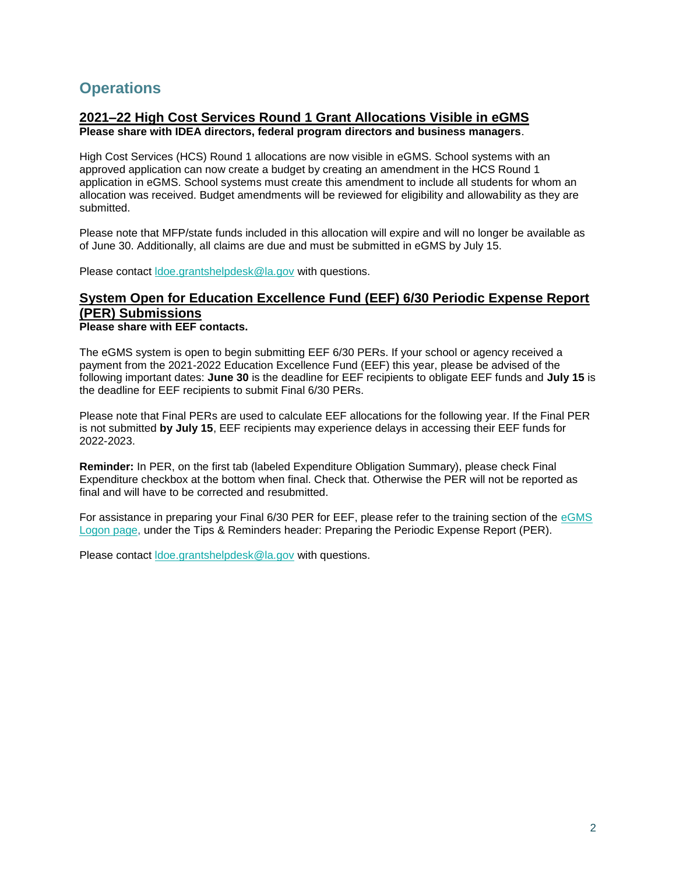## <span id="page-2-0"></span>**Operations**

## **2021–22 High Cost Services Round 1 Grant Allocations Visible in eGMS**

**Please share with IDEA directors, federal program directors and business managers**.

High Cost Services (HCS) Round 1 allocations are now visible in eGMS. School systems with an approved application can now create a budget by creating an amendment in the HCS Round 1 application in eGMS. School systems must create this amendment to include all students for whom an allocation was received. Budget amendments will be reviewed for eligibility and allowability as they are submitted.

Please note that MFP/state funds included in this allocation will expire and will no longer be available as of June 30. Additionally, all claims are due and must be submitted in eGMS by July 15.

Please contact [ldoe.grantshelpdesk@la.gov](mailto:ldoe.grantshelpdesk@la.gov) with questions.

# **System Open for Education Excellence Fund (EEF) 6/30 Periodic Expense Report (PER) Submissions**

#### **Please share with EEF contacts.**

The eGMS system is open to begin submitting EEF 6/30 PERs. If your school or agency received a payment from the 2021-2022 Education Excellence Fund (EEF) this year, please be advised of the following important dates: **June 30** is the deadline for EEF recipients to obligate EEF funds and **July 15** is the deadline for EEF recipients to submit Final 6/30 PERs.

Please note that Final PERs are used to calculate EEF allocations for the following year. If the Final PER is not submitted **by July 15**, EEF recipients may experience delays in accessing their EEF funds for 2022-2023.

**Reminder:** In PER, on the first tab (labeled Expenditure Obligation Summary), please check Final Expenditure checkbox at the bottom when final. Check that. Otherwise the PER will not be reported as final and will have to be corrected and resubmitted.

For assistance in preparing your Final 6/30 PER for EEF, please refer to the training section of the [eGMS](https://egmsp.doe.louisiana.gov/LDEGMSWeb/Logon.aspx)  [Logon page,](https://egmsp.doe.louisiana.gov/LDEGMSWeb/Logon.aspx) under the Tips & Reminders header: Preparing the Periodic Expense Report (PER).

Please contact [ldoe.grantshelpdesk@la.gov](mailto:ldoe.grantshelpdesk@la.gov) with questions.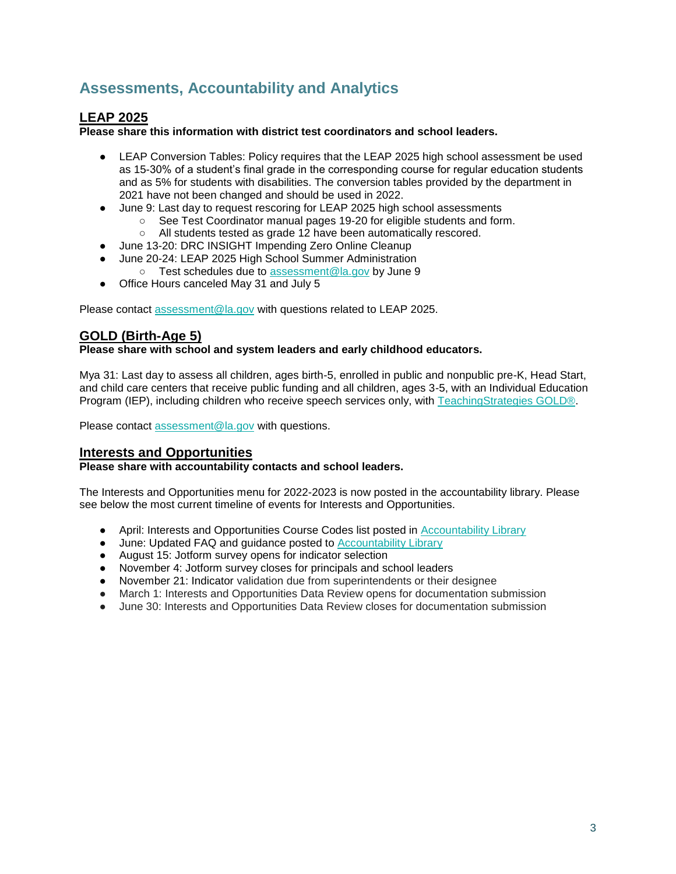# <span id="page-3-0"></span>**Assessments, Accountability and Analytics**

## **LEAP 2025**

**Please share this information with district test coordinators and school leaders.**

- LEAP Conversion Tables: Policy requires that the LEAP 2025 high school assessment be used as 15-30% of a student's final grade in the corresponding course for regular education students and as 5% for students with disabilities. The conversion tables provided by the department in 2021 have not been changed and should be used in 2022.
- June 9: Last day to request rescoring for LEAP 2025 high school assessments
	- See Test Coordinator manual pages 19-20 for eligible students and form.
	- All students tested as grade 12 have been automatically rescored.
- June 13-20: DRC INSIGHT Impending Zero Online Cleanup
- June 20-24: LEAP 2025 High School Summer Administration
	- Test schedules due to [assessment@la.gov](mailto:assessment@la.gov) by June 9
- Office Hours canceled May 31 and July 5

Please contact [assessment@la.gov](mailto:assessment@la.gov) with questions related to LEAP 2025.

## **GOLD (Birth-Age 5)**

**Please share with school and system leaders and early childhood educators.**

Mya 31: Last day to assess all children, ages birth-5, enrolled in public and nonpublic pre-K, Head Start, and child care centers that receive public funding and all children, ages 3-5, with an Individual Education Program (IEP), including children who receive speech services only, with [TeachingStrategies GOLD®.](https://www.louisianabelieves.com/docs/default-source/early-childhood/ts-gold-guidance.pdf?sfvrsn=58b6981f_22)

Please contact [assessment@la.gov](mailto:assessment@la.gov) with questions.

#### **Interests and Opportunities**

#### **Please share with accountability contacts and school leaders.**

The Interests and Opportunities menu for 2022-2023 is now posted in the accountability library. Please see below the most current timeline of events for Interests and Opportunities.

- April: Interests and Opportunities Course Codes list posted in [Accountability Library](https://www.louisianabelieves.com/resources/library/accountability)
- June: Updated FAQ and guidance posted to [Accountability Library](https://www.louisianabelieves.com/resources/library/accountability)
- August 15: Jotform survey opens for indicator selection
- November 4: Jotform survey closes for principals and school leaders
- November 21: Indicator validation due from superintendents or their designee
- March 1: Interests and Opportunities Data Review opens for documentation submission
- June 30: Interests and Opportunities Data Review closes for documentation submission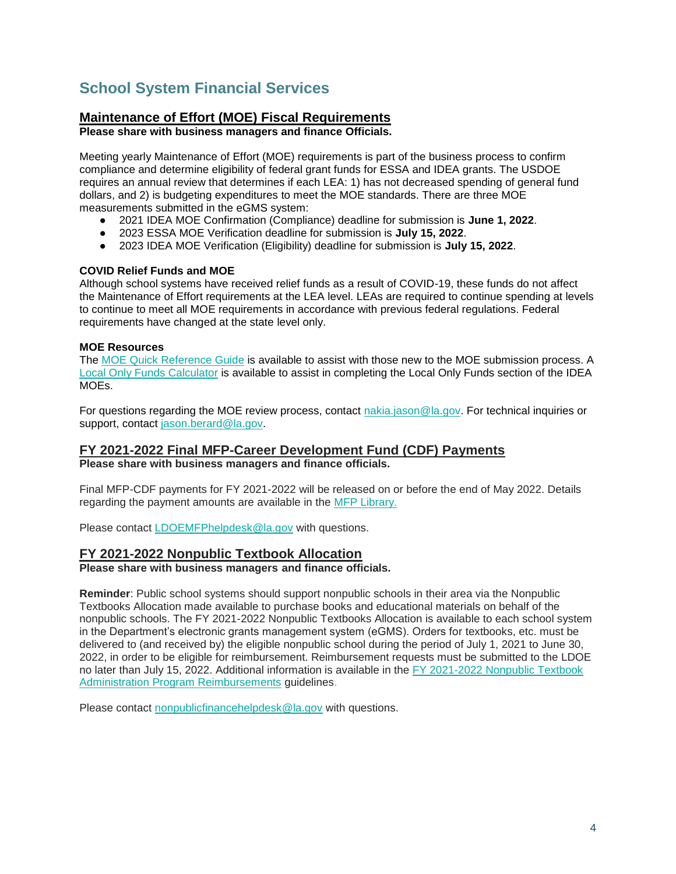# <span id="page-4-0"></span>**School System Financial Services**

## **Maintenance of Effort (MOE) Fiscal Requirements**

**Please share with business managers and finance Officials.**

Meeting yearly Maintenance of Effort (MOE) requirements is part of the business process to confirm compliance and determine eligibility of federal grant funds for ESSA and IDEA grants. The USDOE requires an annual review that determines if each LEA: 1) has not decreased spending of general fund dollars, and 2) is budgeting expenditures to meet the MOE standards. There are three MOE measurements submitted in the eGMS system:

- 2021 IDEA MOE Confirmation (Compliance) deadline for submission is **June 1, 2022**.
- 2023 ESSA MOE Verification deadline for submission is **July 15, 2022**.
- 2023 IDEA MOE Verification (Eligibility) deadline for submission is **July 15, 2022**.

#### **COVID Relief Funds and MOE**

Although school systems have received relief funds as a result of COVID-19, these funds do not affect the Maintenance of Effort requirements at the LEA level. LEAs are required to continue spending at levels to continue to meet all MOE requirements in accordance with previous federal regulations. Federal requirements have changed at the state level only.

#### **MOE Resources**

The [MOE Quick Reference Guide](https://www.louisianabelieves.com/docs/default-source/links-for-newsletters/maintenance-of-effort-quick-guide-for-egms-users-in-2022.pdf?sfvrsn=bb2e6518_2) is available to assist with those new to the MOE submission process. A [Local Only Funds Calculator](https://www.louisianabelieves.com/docs/default-source/links-for-newsletters/local-only-funds-calculatorc9b5035c8c9b66d6b292ff0000215f92.xlsx?sfvrsn=ba2e6518_2) is available to assist in completing the Local Only Funds section of the IDEA MOEs.

For questions regarding the MOE review process, contact [nakia.jason@la.gov.](mailto:nakia.jason@la.gov) For technical inquiries or support, contact [jason.berard@la.gov.](mailto:jason.berard@la.gov)

### **FY 2021-2022 Final MFP-Career Development Fund (CDF) Payments**

**Please share with business managers and finance officials.**

Final MFP-CDF payments for FY 2021-2022 will be released on or before the end of May 2022. Details regarding the payment amounts are available in the [MFP Library.](https://www.louisianabelieves.com/resources/library/minimum-foundation-program) 

Please contact [LDOEMFPhelpdesk@la.gov](mailto:LDOEMFPhelpdesk@la.gov) with questions.

#### **FY 2021-2022 Nonpublic Textbook Allocation**

**Please share with business managers and finance officials.**

**Reminder**: Public school systems should support nonpublic schools in their area via the Nonpublic Textbooks Allocation made available to purchase books and educational materials on behalf of the nonpublic schools. The FY 2021-2022 Nonpublic Textbooks Allocation is available to each school system in the Department's electronic grants management system (eGMS). Orders for textbooks, etc. must be delivered to (and received by) the eligible nonpublic school during the period of July 1, 2021 to June 30, 2022, in order to be eligible for reimbursement. Reimbursement requests must be submitted to the LDOE no later than July 15, 2022. Additional information is available in the [FY 2021-2022 Nonpublic Textbook](https://www.louisianabelieves.com/docs/default-source/links-for-newsletters/fy2021-22-nonpublic-textbook-allocation-guidelines-for-leas.pdf)  [Administration Program Reimbursements](https://www.louisianabelieves.com/docs/default-source/links-for-newsletters/fy2021-22-nonpublic-textbook-allocation-guidelines-for-leas.pdf) guidelines.

Please contact [nonpublicfinancehelpdesk@la.gov](mailto:nonpublicfinancehelpdesk@la.gov) with questions.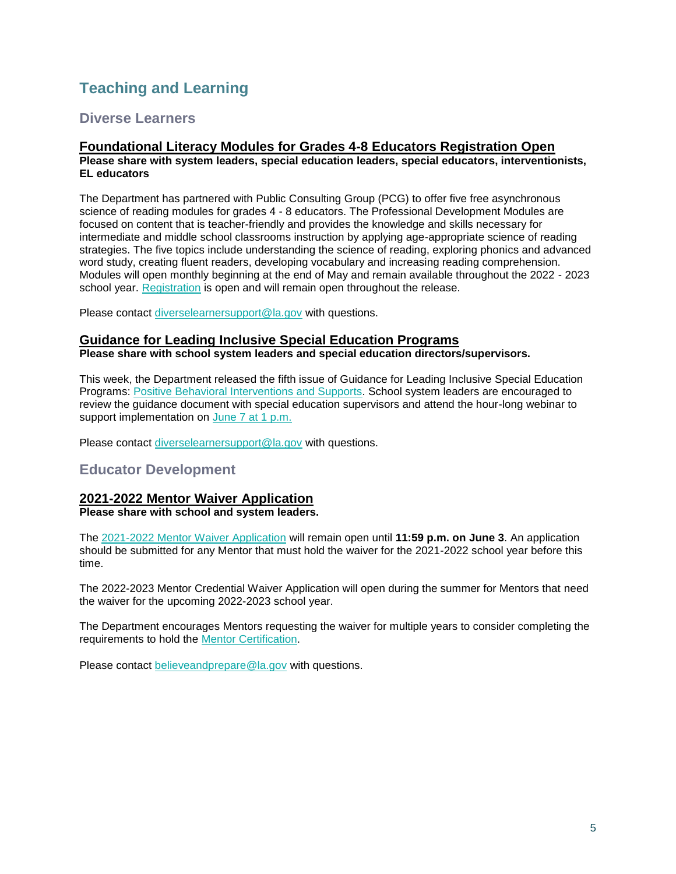# <span id="page-5-0"></span>**Teaching and Learning**

## <span id="page-5-1"></span>**Diverse Learners**

#### **Foundational Literacy Modules for Grades 4-8 Educators Registration Open Please share with system leaders, special education leaders, special educators, interventionists, EL educators**

The Department has partnered with Public Consulting Group (PCG) to offer five free asynchronous science of reading modules for grades 4 - 8 educators. The Professional Development Modules are focused on content that is teacher-friendly and provides the knowledge and skills necessary for intermediate and middle school classrooms instruction by applying age-appropriate science of reading strategies. The five topics include understanding the science of reading, exploring phonics and advanced word study, creating fluent readers, developing vocabulary and increasing reading comprehension. Modules will open monthly beginning at the end of May and remain available throughout the 2022 - 2023 school year. [Registration](https://forms.office.com/pages/responsepage.aspx?id=wxCx2SVMeUO5euJIk4zBe480GuvBKj1CvXxROcKQzeNUMlI4S0tDVFhPSkVXNU5DNkJDSlhXNkFHMy4u) is open and will remain open throughout the release.

Please contact [diverselearnersupport@la.gov](mailto:diverselearnersupport@la.gov) with questions.

#### **Guidance for Leading Inclusive Special Education Programs**

**Please share with school system leaders and special education directors/supervisors.**

This week, the Department released the fifth issue of Guidance for Leading Inclusive Special Education Programs: [Positive Behavioral Interventions and Supports.](https://www.louisianabelieves.com/docs/default-source/students-with-disabilities/guidance-for-leading-inclusive-special-education-programs---positive-behavior-intervention-supports-(may-2022).pdf) School system leaders are encouraged to review the guidance document with special education supervisors and attend the hour-long webinar to support implementation on [June 7 at 1 p.m.](https://ldoe.zoom.us/j/99772844385?pwd=S2Noek80VjFvOU5ZTG5pQTZOeTRNQT09)

Please contact [diverselearnersupport@la.gov](mailto:diverselearnersupport@la.gov) with questions.

### <span id="page-5-2"></span>**Educator Development**

#### **2021-2022 Mentor Waiver Application Please share with school and system leaders.**

The [2021-2022 Mentor Waiver Application](https://www.louisianabelieves.com/docs/default-source/professional-development/2021-2022-mentor-waiver-application-guide.pdf?sfvrsn=ad6c6718_2) will remain open until **11:59 p.m. on June 3**. An application should be submitted for any Mentor that must hold the waiver for the 2021-2022 school year before this time.

The 2022-2023 Mentor Credential Waiver Application will open during the summer for Mentors that need the waiver for the upcoming 2022-2023 school year.

The Department encourages Mentors requesting the waiver for multiple years to consider completing the requirements to hold the [Mentor Certification.](https://www.teachlouisiana.net/Checklist/Ancillary_Mentor_Teacher.pdf) 

Please contact [believeandprepare@la.gov](mailto:believeandprepare@la.gov) with questions.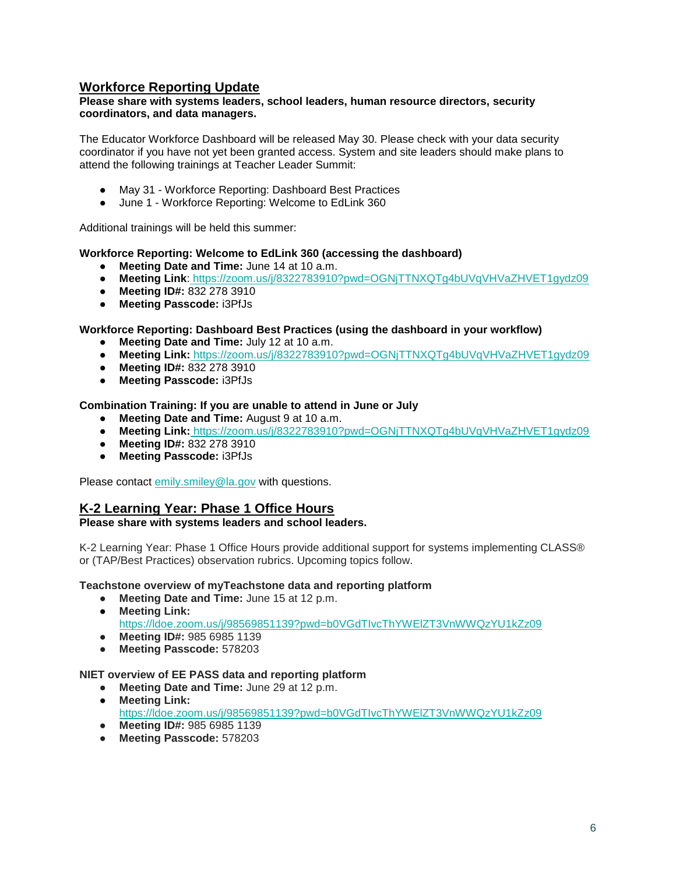## **Workforce Reporting Update**

#### **Please share with systems leaders, school leaders, human resource directors, security coordinators, and data managers.**

The Educator Workforce Dashboard will be released May 30. Please check with your data security coordinator if you have not yet been granted access. System and site leaders should make plans to attend the following trainings at Teacher Leader Summit:

- May 31 Workforce Reporting: Dashboard Best Practices
- June 1 Workforce Reporting: Welcome to EdLink 360

Additional trainings will be held this summer:

#### **Workforce Reporting: Welcome to EdLink 360 (accessing the dashboard)**

- **Meeting Date and Time:** June 14 at 10 a.m.
- **Meeting Link**: <https://zoom.us/j/8322783910?pwd=OGNjTTNXQTg4bUVqVHVaZHVET1gydz09>
- **Meeting ID#:** 832 278 3910
- **Meeting Passcode:** i3PfJs

#### **Workforce Reporting: Dashboard Best Practices (using the dashboard in your workflow)**

- **Meeting Date and Time:** July 12 at 10 a.m.
- **Meeting Link:** <https://zoom.us/j/8322783910?pwd=OGNjTTNXQTg4bUVqVHVaZHVET1gydz09>
- **Meeting ID#:** 832 278 3910
- **Meeting Passcode:** i3PfJs

#### **Combination Training: If you are unable to attend in June or July**

- **Meeting Date and Time:** August 9 at 10 a.m.
- **Meeting Link:** <https://zoom.us/j/8322783910?pwd=OGNjTTNXQTg4bUVqVHVaZHVET1gydz09>
- **Meeting ID#:** 832 278 3910
- **Meeting Passcode:** i3PfJs

Please contact [emily.smiley@la.gov](mailto:emily.smiley@la.gov) with questions.

### **K-2 Learning Year: Phase 1 Office Hours**

#### **Please share with systems leaders and school leaders.**

K-2 Learning Year: Phase 1 Office Hours provide additional support for systems implementing CLASS® or (TAP/Best Practices) observation rubrics. Upcoming topics follow.

**Teachstone overview of myTeachstone data and reporting platform** 

- **Meeting Date and Time:** June 15 at 12 p.m.
- **Meeting Link:**

<https://ldoe.zoom.us/j/98569851139?pwd=b0VGdTIvcThYWElZT3VnWWQzYU1kZz09>

- **Meeting ID#:** 985 6985 1139
- **Meeting Passcode:** 578203

#### **NIET overview of EE PASS data and reporting platform**

- **Meeting Date and Time:** June 29 at 12 p.m.
- **Meeting Link:**  <https://ldoe.zoom.us/j/98569851139?pwd=b0VGdTIvcThYWElZT3VnWWQzYU1kZz09> ● **Meeting ID#:** 985 6985 1139
- **Meeting Passcode:** 578203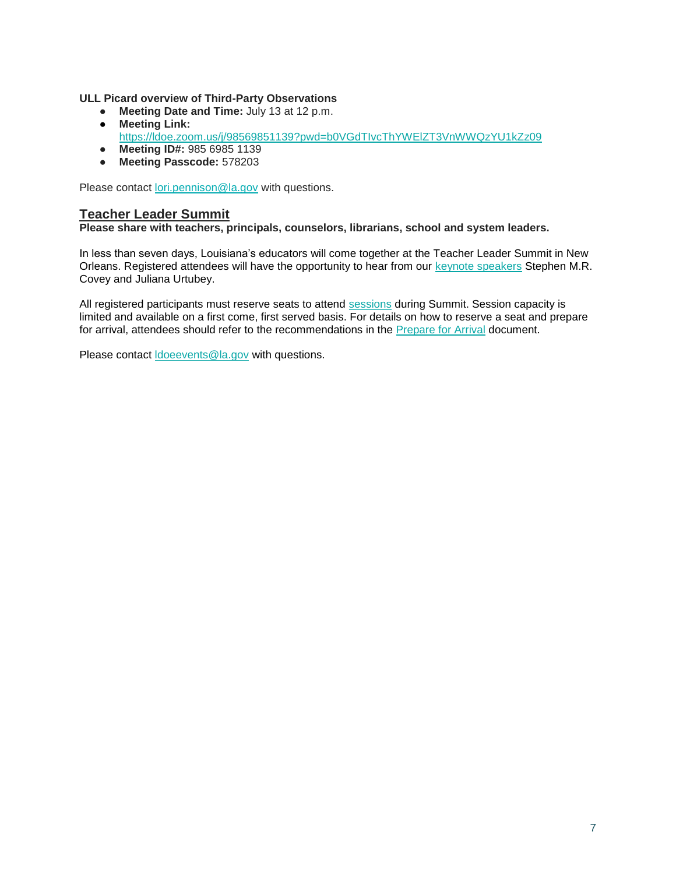**ULL Picard overview of Third-Party Observations** 

- **Meeting Date and Time:** July 13 at 12 p.m.
- **Meeting Link:**  <https://ldoe.zoom.us/j/98569851139?pwd=b0VGdTIvcThYWElZT3VnWWQzYU1kZz09>
- **Meeting ID#:** 985 6985 1139
- **Meeting Passcode:** 578203

Please contact [lori.pennison@la.gov](mailto:lori.pennison@la.gov) with questions.

#### **Teacher Leader Summit**

**Please share with teachers, principals, counselors, librarians, school and system leaders.** 

In less than seven days, Louisiana's educators will come together at the Teacher Leader Summit in New Orleans. Registered attendees will have the opportunity to hear from our [keynote speakers](https://www.louisianabelieves.com/docs/default-source/2022-teacher-leader-summit/keynote-speakers---tl-summit-2022.pdf) Stephen M.R. Covey and Juliana Urtubey.

All registered participants must reserve seats to attend [sessions](https://whova.com/embedded/event/i6u0jc%2FHaQPA8X9JKRdO22%2FvxgNOBGeJNdxPWRzFISM%3D/?utc_source=ems) during Summit. Session capacity is limited and available on a first come, first served basis. For details on how to reserve a seat and prepare for arrival, attendees should refer to the recommendations in the [Prepare for Arrival](https://www.louisianabelieves.com/docs/default-source/2022-teacher-leader-summit/prepare-for-arrival---tl-summit-2022.pdf) document.

Please contact [ldoeevents@la.gov](mailto:ldoeevents@la.gov) with questions.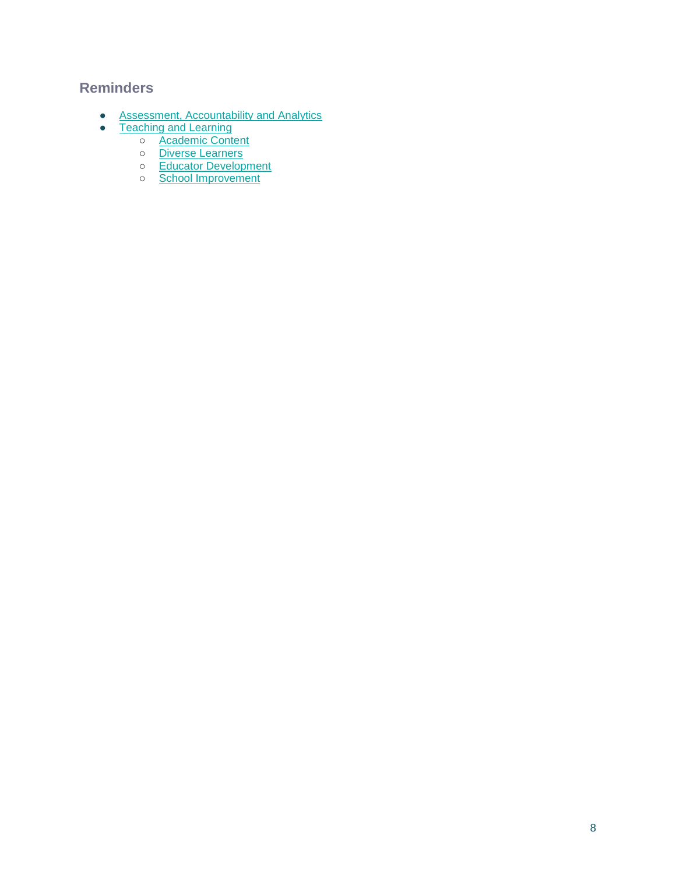## <span id="page-8-0"></span>**Reminders**

- [Assessment, Accountability and Analytics](#page-9-0)
- [Teaching and Learning](#page-10-0)
	- [Academic Content](#page-10-1)
	- [Diverse Learners](#page-10-2)
	- o [Educator Development](#page-11-0)
	- o [School Improvement](#page-13-0)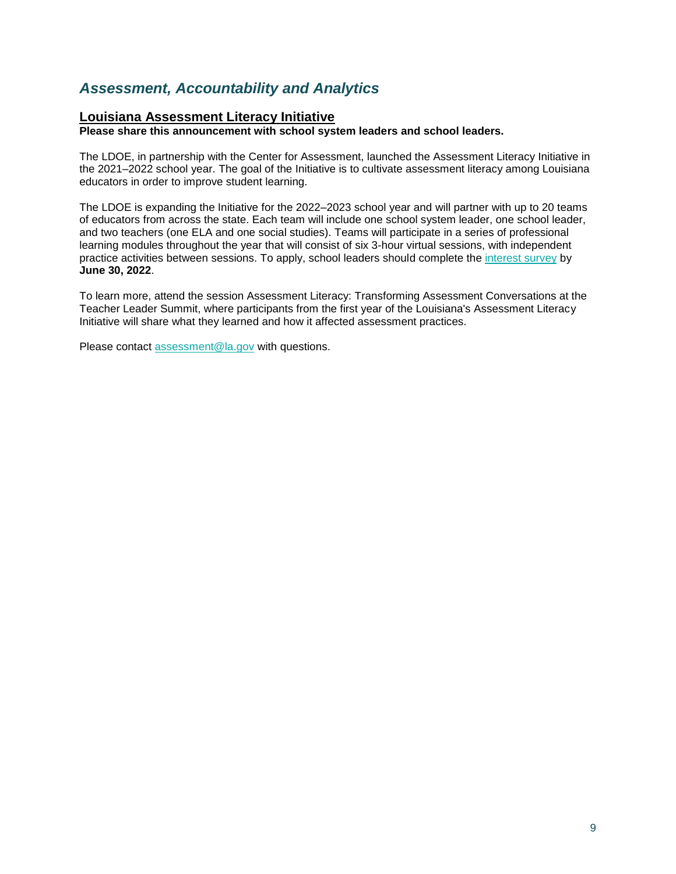# <span id="page-9-0"></span>*Assessment, Accountability and Analytics*

### **Louisiana Assessment Literacy Initiative**

**Please share this announcement with school system leaders and school leaders.**

The LDOE, in partnership with the Center for Assessment, launched the Assessment Literacy Initiative in the 2021–2022 school year. The goal of the Initiative is to cultivate assessment literacy among Louisiana educators in order to improve student learning.

The LDOE is expanding the Initiative for the 2022–2023 school year and will partner with up to 20 teams of educators from across the state. Each team will include one school system leader, one school leader, and two teachers (one ELA and one social studies). Teams will participate in a series of professional learning modules throughout the year that will consist of six 3-hour virtual sessions, with independent practice activities between sessions. To apply, school leaders should complete th[e](https://docs.google.com/forms/d/e/1FAIpQLSc8wPVFqk3Qb062CCda0bGbANSellkZSzrizltgLqMdvPPreQ/viewform?usp=sf_link) [interest survey](https://docs.google.com/forms/d/e/1FAIpQLSc8wPVFqk3Qb062CCda0bGbANSellkZSzrizltgLqMdvPPreQ/viewform?usp=sf_link) by **June 30, 2022**.

To learn more, attend the session Assessment Literacy: Transforming Assessment Conversations at the Teacher Leader Summit, where participants from the first year of the Louisiana's Assessment Literacy Initiative will share what they learned and how it affected assessment practices.

Please contact [assessment@la.gov](mailto:assessment@la.gov) with questions.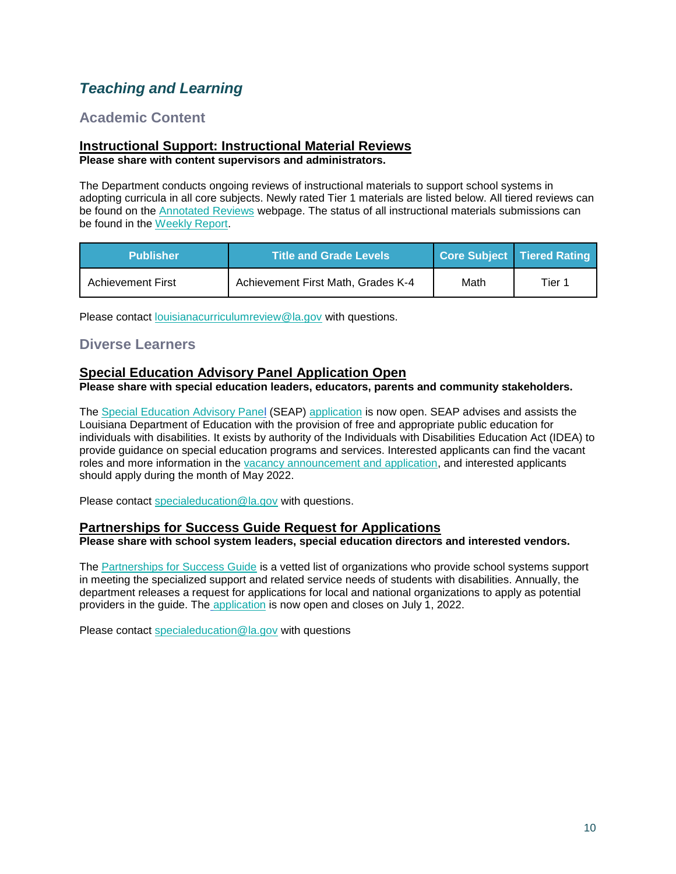# <span id="page-10-0"></span>*Teaching and Learning*

## <span id="page-10-1"></span>**Academic Content**

#### **Instructional Support: Instructional Material Reviews Please share with content supervisors and administrators.**

The Department conducts ongoing reviews of instructional materials to support school systems in adopting curricula in all core subjects. Newly rated Tier 1 materials are listed below. All tiered reviews can be found on the [Annotated Reviews](http://www.louisianabelieves.com/academics/ONLINE-INSTRUCTIONAL-MATERIALS-REVIEWS/curricular-resources-annotated-reviews) webpage. The status of all instructional materials submissions can be found in the [Weekly Report.](https://www.louisianabelieves.com/docs/default-source/curricular-resources/online-instructional-materials-reviews.pdf?sfvrsn=a26b841f_654)

| <b>Publisher</b>         | <b>Title and Grade Levels</b>      |      | Core Subject   Tiered Rating |
|--------------------------|------------------------------------|------|------------------------------|
| <b>Achievement First</b> | Achievement First Math, Grades K-4 | Math | Tier 1                       |

Please contact [louisianacurriculumreview@la.gov](mailto:LouisianaCurriculumReview@la.gov) with questions.

## <span id="page-10-2"></span>**Diverse Learners**

## **Special Education Advisory Panel Application Open**

**Please share with special education leaders, educators, parents and community stakeholders.**

The [Special Education Advisory Panel](https://www.louisianabelieves.com/docs/default-source/academics/special-education-advisory-panel-(seap)-overview.pdf?sfvrsn=8bfd891f_42) (SEAP) [application](https://www.louisianabelieves.com/docs/default-source/students-with-disabilities/seap-member-vacancy-announcement-and-application.pdf?sfvrsn=4ea76618_12) is now open. SEAP advises and assists the Louisiana Department of Education with the provision of free and appropriate public education for individuals with disabilities. It exists by authority of the Individuals with Disabilities Education Act (IDEA) to provide guidance on special education programs and services. Interested applicants can find the vacant roles and more information in the [vacancy announcement and application,](https://www.louisianabelieves.com/docs/default-source/students-with-disabilities/seap-member-vacancy-announcement-and-application.pdf?sfvrsn=4ea76618_12) and interested applicants should apply during the month of May 2022.

Please contact [specialeducation@la.gov](mailto:specialeducation@la.gov) with questions.

### **Partnerships for Success Guide Request for Applications**

**Please share with school system leaders, special education directors and interested vendors.**

The [Partnerships for Success Guide](https://www.louisianabelieves.com/docs/default-source/students-with-disabilities/partnerships-for-success-guide.pdf?sfvrsn=3af99d1f_2) is a vetted list of organizations who provide school systems support in meeting the specialized support and related service needs of students with disabilities. Annually, the department releases a request for applications for local and national organizations to apply as potential providers in the guide. Th[e](https://docs.google.com/forms/d/e/1FAIpQLSdHatVDhfasD3Y6NtUJnMJaVzs8S41zLuFjqnSNeLhIA50ssQ/viewform?usp=sf_link) [application](https://docs.google.com/forms/d/e/1FAIpQLSdHatVDhfasD3Y6NtUJnMJaVzs8S41zLuFjqnSNeLhIA50ssQ/viewform?usp=sf_link) is now open and closes on July 1, 2022.

Please contact [specialeducation@la.gov](mailto:specialeducation@la.gov) with questions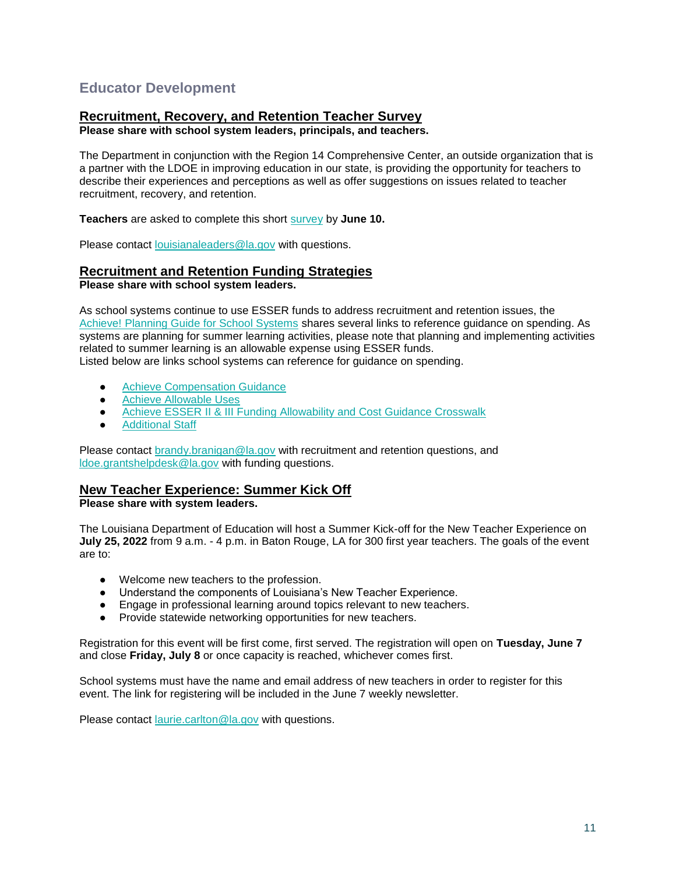## <span id="page-11-0"></span>**Educator Development**

### **Recruitment, Recovery, and Retention Teacher Survey**

**Please share with school system leaders, principals, and teachers.**

The Department in conjunction with the Region 14 Comprehensive Center, an outside organization that is a partner with the LDOE in improving education in our state, is providing the opportunity for teachers to describe their experiences and perceptions as well as offer suggestions on issues related to teacher recruitment, recovery, and retention.

**Teachers** are asked to complete this short [survey](https://survey.alchemer.com/s3/6839519/Region-14-CC-Teacher-Recruitment-Retention-and-Recovery-Survey) by **June 10.**

Please contact [louisianaleaders@la.gov](mailto:louisianaleaders@la.gov) with questions.

## **Recruitment and Retention Funding Strategies**

**Please share with school system leaders.**

As school systems continue to use ESSER funds to address recruitment and retention issues, the [Achieve! Planning Guide for School Systems](https://www.louisianabelieves.com/docs/default-source/operations/achieve!-planning-guidance.pdf?sfvrsn=25d36718_24) shares several links to reference guidance on spending. As systems are planning for summer learning activities, please note that planning and implementing activities related to summer learning is an allowable expense using ESSER funds. Listed below are links school systems can reference for guidance on spending.

- **[Achieve Compensation Guidance](https://www.louisianabelieves.com/docs/default-source/achieve/achieve!-compensation-guidance.pdf?sfvrsn=d4ce6718_8)**
- Achieve Allowable Uses
- [Achieve ESSER II & III Funding Allowability and Cost Guidance Crosswalk](https://www.louisianabelieves.com/docs/default-source/achieve/achieve!-esser-ii-iii-funding-allowability-and-cost-guidance-crosswalk.pdf?sfvrsn=c5c16718_6)
- **[Additional Staff](https://www.louisianabelieves.com/docs/default-source/achieve/achieve!-hiring-investment-examples.pdf?sfvrsn=60fb6718_2)**

Please contact [brandy.branigan@la.gov](mailto:brandy.branigan@la.gov) with recruitment and retention questions, and [ldoe.grantshelpdesk@la.gov](mailto:LDOE.GrantsHelpdesk@la.gov) with funding questions.

### **New Teacher Experience: Summer Kick Off**

**Please share with system leaders.**

The Louisiana Department of Education will host a Summer Kick-off for the New Teacher Experience on **July 25, 2022** from 9 a.m. - 4 p.m. in Baton Rouge, LA for 300 first year teachers. The goals of the event are to:

- Welcome new teachers to the profession.
- Understand the components of Louisiana's New Teacher Experience.
- Engage in professional learning around topics relevant to new teachers.
- Provide statewide networking opportunities for new teachers.

Registration for this event will be first come, first served. The registration will open on **Tuesday, June 7**  and close **Friday, July 8** or once capacity is reached, whichever comes first.

School systems must have the name and email address of new teachers in order to register for this event. The link for registering will be included in the June 7 weekly newsletter.

Please contact [laurie.carlton@la.gov](mailto:laurie.carlton@la.gov) with questions.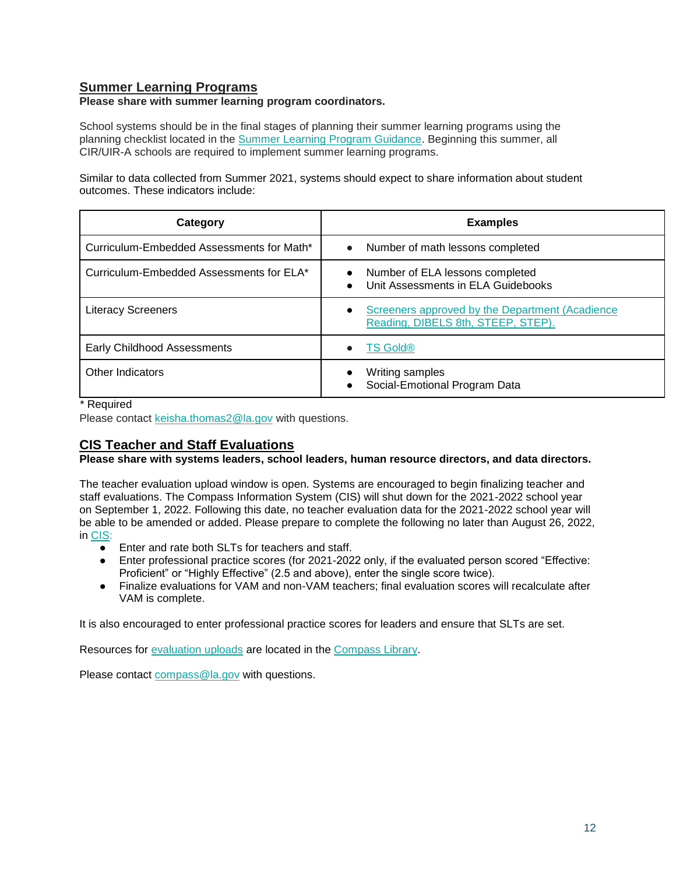## **Summer Learning Programs**

#### **Please share with summer learning program coordinators.**

School systems should be in the final stages of planning their summer learning programs using the planning checklist located in the [Summer Learning Program Guidance.](https://www.louisianabelieves.com/docs/default-source/academics/summer-learning-program-guidance-2021.pdf?sfvrsn=9f5a6618_2) Beginning this summer, all CIR/UIR-A schools are required to implement summer learning programs.

Similar to data collected from Summer 2021, systems should expect to share information about student outcomes. These indicators include:

| Category                                  | <b>Examples</b>                                                                                    |
|-------------------------------------------|----------------------------------------------------------------------------------------------------|
| Curriculum-Embedded Assessments for Math* | Number of math lessons completed<br>$\bullet$                                                      |
| Curriculum-Embedded Assessments for ELA*  | Number of ELA lessons completed<br>$\bullet$<br>Unit Assessments in ELA Guidebooks<br>$\bullet$    |
| <b>Literacy Screeners</b>                 | Screeners approved by the Department (Acadience<br>$\bullet$<br>Reading, DIBELS 8th, STEEP, STEP). |
| Early Childhood Assessments               | <b>TS Gold®</b>                                                                                    |
| Other Indicators                          | Writing samples<br>Social-Emotional Program Data                                                   |

\* Required

Please contact [keisha.thomas2@la.gov](mailto:Keisha.Thomas2@la.gov) with questions.

## **CIS Teacher and Staff Evaluations**

**Please share with systems leaders, school leaders, human resource directors, and data directors.**

The teacher evaluation upload window is open. Systems are encouraged to begin finalizing teacher and staff evaluations. The Compass Information System (CIS) will shut down for the 2021-2022 school year on September 1, 2022. Following this date, no teacher evaluation data for the 2021-2022 school year will be able to be amended or added. Please prepare to complete the following no later than August 26, 2022, in [CIS:](https://leads13.doe.louisiana.gov/hcs/FrameWork.aspx)

- Enter and rate both SLTs for teachers and staff.
- Enter professional practice scores (for 2021-2022 only, if the evaluated person scored "Effective: Proficient" or "Highly Effective" (2.5 and above), enter the single score twice).
- Finalize evaluations for VAM and non-VAM teachers; final evaluation scores will recalculate after VAM is complete.

It is also encouraged to enter professional practice scores for leaders and ensure that SLTs are set.

Resources for [evaluation uploads](https://www.louisianabelieves.com/docs/default-source/teaching/compass-information-system-evaluation-upload-guide.pdf?sfvrsn=2c216718_8) are located in the [Compass Library.](https://www.louisianabelieves.com/resources/library/compass) 

Please contact [compass@la.gov](mailto:compass@la.gov) with questions.